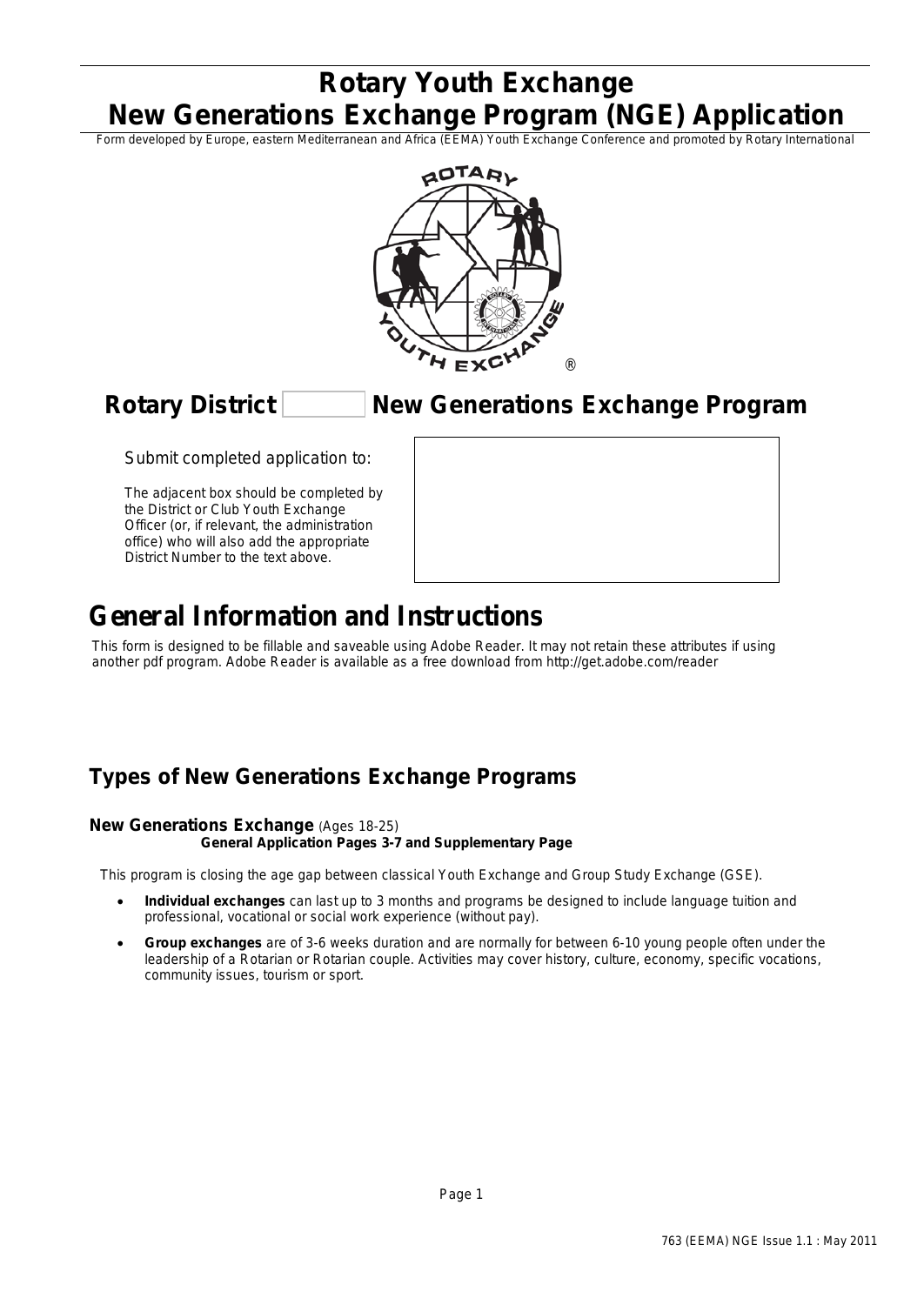# **Rotary Youth Exchange New Generations Exchange Program (NGE) Application**

Form developed by Europe, eastern Mediterranean and Africa (EEMA) Youth Exchange Conference and promoted by Rotary International



## **Rotary District New Generations Exchange Program**

Submit completed application to:

*The adjacent box should be completed by the District or Club Youth Exchange Officer (or, if relevant, the administration office) who will also add the appropriate District Number to the text above.*

# **General Information and Instructions**

This form is designed to be fillable and saveable using Adobe Reader. It may not retain these attributes if using another pdf program. Adobe Reader is available as a free download from http://get.adobe.com/reader

# **Types of New Generations Exchange Programs**

#### **New Generations Exchange** (Ages 18-25)

#### **General Application Pages 3-7 and Supplementary Page**

This program is closing the age gap between classical Youth Exchange and Group Study Exchange (GSE).

- **Individual exchanges** can last up to 3 months and programs be designed to include language tuition and professional, vocational or social work experience (without pay).
- **Group exchanges** are of 3-6 weeks duration and are normally for between 6-10 young people often under the leadership of a Rotarian or Rotarian couple. Activities may cover history, culture, economy, specific vocations, community issues, tourism or sport.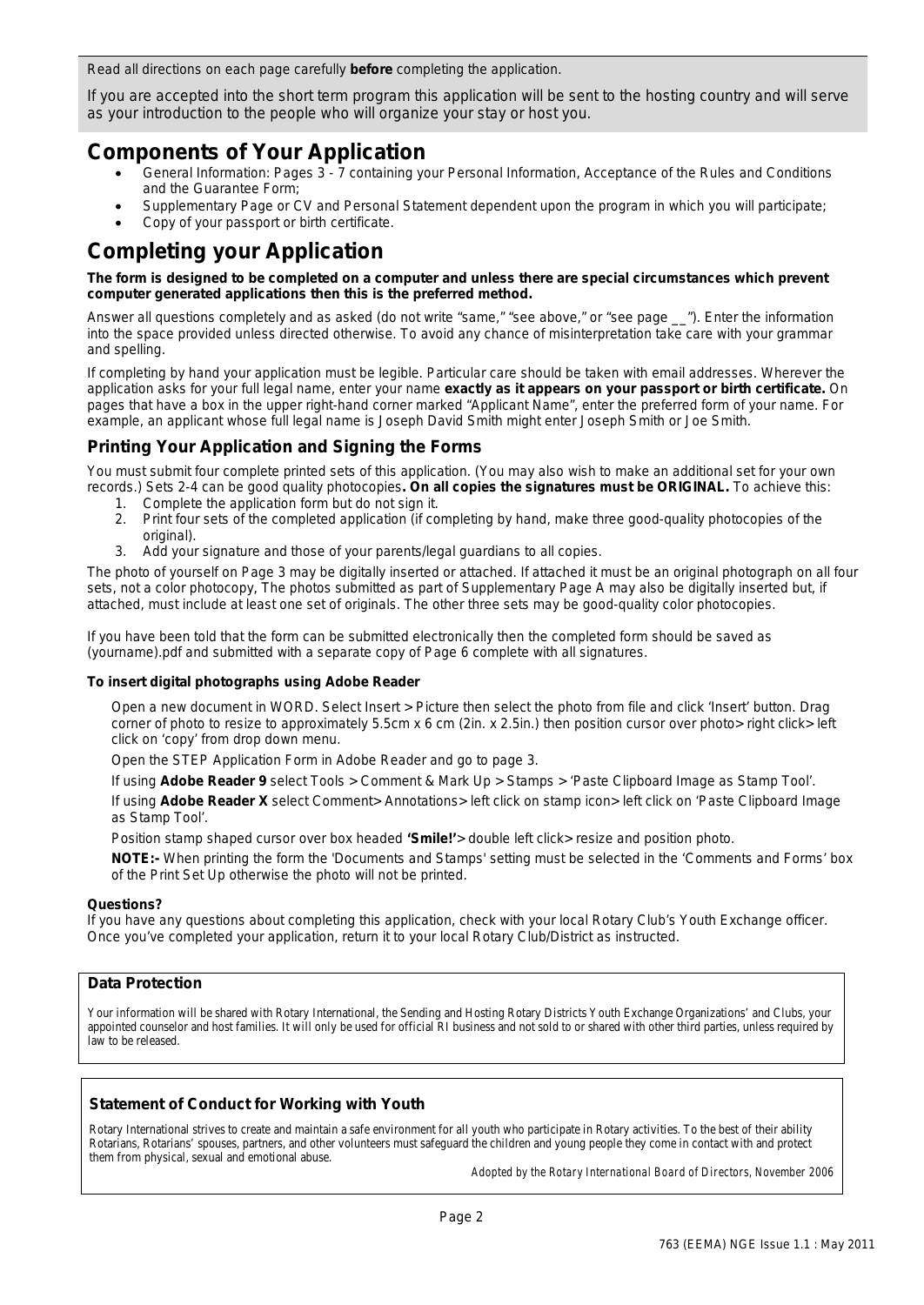Read all directions on each page carefully **before** completing the application.

If you are accepted into the short term program this application will be sent to the hosting country and will serve as your introduction to the people who will organize your stay or host you.

### **Components of Your Application**

- General Information: Pages 3 7 containing your Personal Information, Acceptance of the Rules and Conditions and the Guarantee Form;
- Supplementary Page or CV and Personal Statement dependent upon the program in which you will participate;
- Copy of your passport or birth certificate.

## **Completing your Application**

#### **The form is designed to be completed on a computer and unless there are special circumstances which prevent computer generated applications then this is the preferred method.**

Answer all questions completely and as asked (*do not* write "same," "see above," or "see page \_\_"). Enter the information into the space provided unless directed otherwise. To avoid any chance of misinterpretation take care with your grammar and spelling.

If completing by hand your application *must* be legible. Particular care should be taken with email addresses. Wherever the application asks for your full legal name, enter your name **exactly as it appears on your passport or birth certificate.** On pages that have a box in the upper right-hand corner marked "Applicant Name", enter the preferred form of your name. For example, an applicant whose full legal name is Joseph David Smith might enter *Joseph Smith* or *Joe Smith*.

### **Printing Your Application and Signing the Forms**

You must submit four complete printed sets of this application. (You may also wish to make an additional set for your own records.) Sets 2-4 can be good quality photocopies**. On all copies the signatures must be ORIGINAL.** To achieve this:

- 1. Complete the application form but do not sign it.
- 2. Print four sets of the completed application (if completing by hand, make three good-quality photocopies of the original).
- 3. Add your signature and those of your parents/legal guardians to all copies.

The photo of yourself on Page 3 may be digitally inserted or attached. If attached it must be an original photograph on all four sets, not a color photocopy, The photos submitted as part of Supplementary Page A may also be digitally inserted but, if attached, must include at least one set of originals. The other three sets may be good-quality color photocopies.

If you have been told that the form can be submitted electronically then the completed form should be saved as (yourname).pdf and submitted with a separate copy of Page 6 complete with all signatures.

#### **To insert digital photographs using Adobe Reader**

Open a new document in WORD. Select Insert > Picture then select the photo from file and click 'Insert' button. Drag corner of photo to resize to approximately 5.5cm x 6 cm (2in. x 2.5in.) then position cursor over photo> right click> left click on 'copy' from drop down menu.

Open the STEP Application Form in Adobe Reader and go to page 3.

If using **Adobe Reader 9** select Tools > Comment & Mark Up > Stamps > 'Paste Clipboard Image as Stamp Tool'.

If using **Adobe Reader X** select Comment> Annotations> left click on stamp icon> left click on 'Paste Clipboard Image as Stamp Tool'.

Position stamp shaped cursor over box headed **'Smile!'**> double left click> resize and position photo.

**NOTE:-** When printing the form the 'Documents and Stamps' setting must be selected in the 'Comments and Forms' box of the Print Set Up otherwise the photo will not be printed.

#### **Questions?**

If you have any questions about completing this application, check with your local Rotary Club's Youth Exchange officer. Once you've completed your application, return it to your local Rotary Club/District as instructed.

#### **Data Protection**

Your information will be shared with Rotary International, the Sending and Hosting Rotary Districts Youth Exchange Organizations' and Clubs, your appointed counselor and host families. It will only be used for official RI business and not sold to or shared with other third parties, unless required by law to be released.

#### **Statement of Conduct for Working with Youth**

Rotary International strives to create and maintain a safe environment for all youth who participate in Rotary activities. To the best of their ability Rotarians, Rotarians' spouses, partners, and other volunteers must safeguard the children and young people they come in contact with and protect them from physical, sexual and emotional abuse.

*Adopted by the Rotary International Board of Directors, November 2006*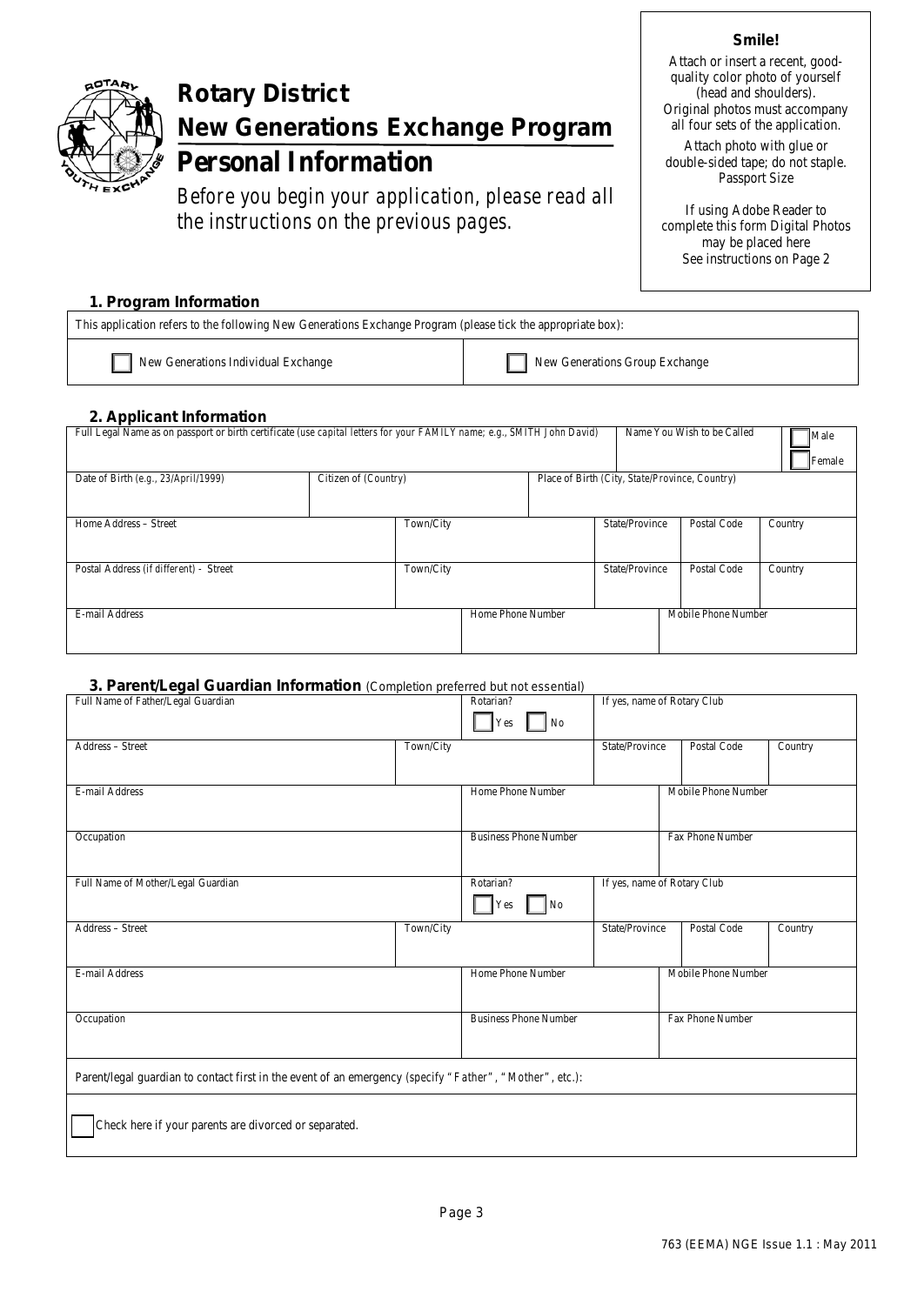

# **Rotary District New Generations Exchange Program**

# **Personal Information**

*Before you begin your application, please read all the instructions on the previous pages.*

#### **Smile!**

Attach or insert a recent, goodquality color photo of yourself (head and shoulders). Original photos must accompany all four sets of the application.

Attach photo with glue or double-sided tape; do not staple. Passport Size

If using Adobe Reader to complete this form Digital Photos may be placed here See instructions on Page 2

#### **1. Program Information**

This application refers to the following New Generations Exchange Program (please tick the appropriate box):

| New Generations Individual Exchange | New Generations Group Exchange |
|-------------------------------------|--------------------------------|
|-------------------------------------|--------------------------------|

#### **2. Applicant Information**

| Full Legal Name as on passport or birth certificate (use capital letters for your FAMILY name; e.g., SMITH John David) |                      |           |                   |  | Name You Wish to be Called | Male<br>Female                                 |         |
|------------------------------------------------------------------------------------------------------------------------|----------------------|-----------|-------------------|--|----------------------------|------------------------------------------------|---------|
| Date of Birth (e.g., 23/April/1999)                                                                                    | Citizen of (Country) |           |                   |  |                            | Place of Birth (City, State/Province, Country) |         |
|                                                                                                                        |                      |           |                   |  |                            |                                                |         |
| Home Address - Street                                                                                                  |                      | Town/City |                   |  | State/Province             | Postal Code                                    | Country |
|                                                                                                                        |                      |           |                   |  |                            |                                                |         |
| Postal Address (if different) - Street                                                                                 |                      | Town/City |                   |  | State/Province             | Postal Code                                    | Country |
|                                                                                                                        |                      |           |                   |  |                            |                                                |         |
| E-mail Address                                                                                                         |                      |           | Home Phone Number |  |                            | Mobile Phone Number                            |         |
|                                                                                                                        |                      |           |                   |  |                            |                                                |         |

#### **3. Parent/Legal Guardian Information** *(Completion preferred but not essential)*

| <u>Un divide by an under internation (component profonde parmor cooling)</u><br>Full Name of Father/Legal Guardian |           | Rotarian?<br>$\log$<br>Yes   | If yes, name of Rotary Club |                     |         |
|--------------------------------------------------------------------------------------------------------------------|-----------|------------------------------|-----------------------------|---------------------|---------|
| Address - Street                                                                                                   | Town/City |                              | State/Province              | Postal Code         | Country |
| E-mail Address                                                                                                     |           | Home Phone Number            |                             | Mobile Phone Number |         |
| Occupation                                                                                                         |           | <b>Business Phone Number</b> |                             | Fax Phone Number    |         |
| Full Name of Mother/Legal Guardian                                                                                 |           | Rotarian?<br>$\log$<br>Yes   | If yes, name of Rotary Club |                     |         |
| Address - Street                                                                                                   | Town/City |                              | State/Province              | Postal Code         | Country |
| E-mail Address                                                                                                     |           | Home Phone Number            |                             | Mobile Phone Number |         |
| Occupation                                                                                                         |           | <b>Business Phone Number</b> |                             | Fax Phone Number    |         |
| Parent/legal guardian to contact first in the event of an emergency (specify "Father", "Mother", etc.):            |           |                              |                             |                     |         |
| Check here if your parents are divorced or separated.                                                              |           |                              |                             |                     |         |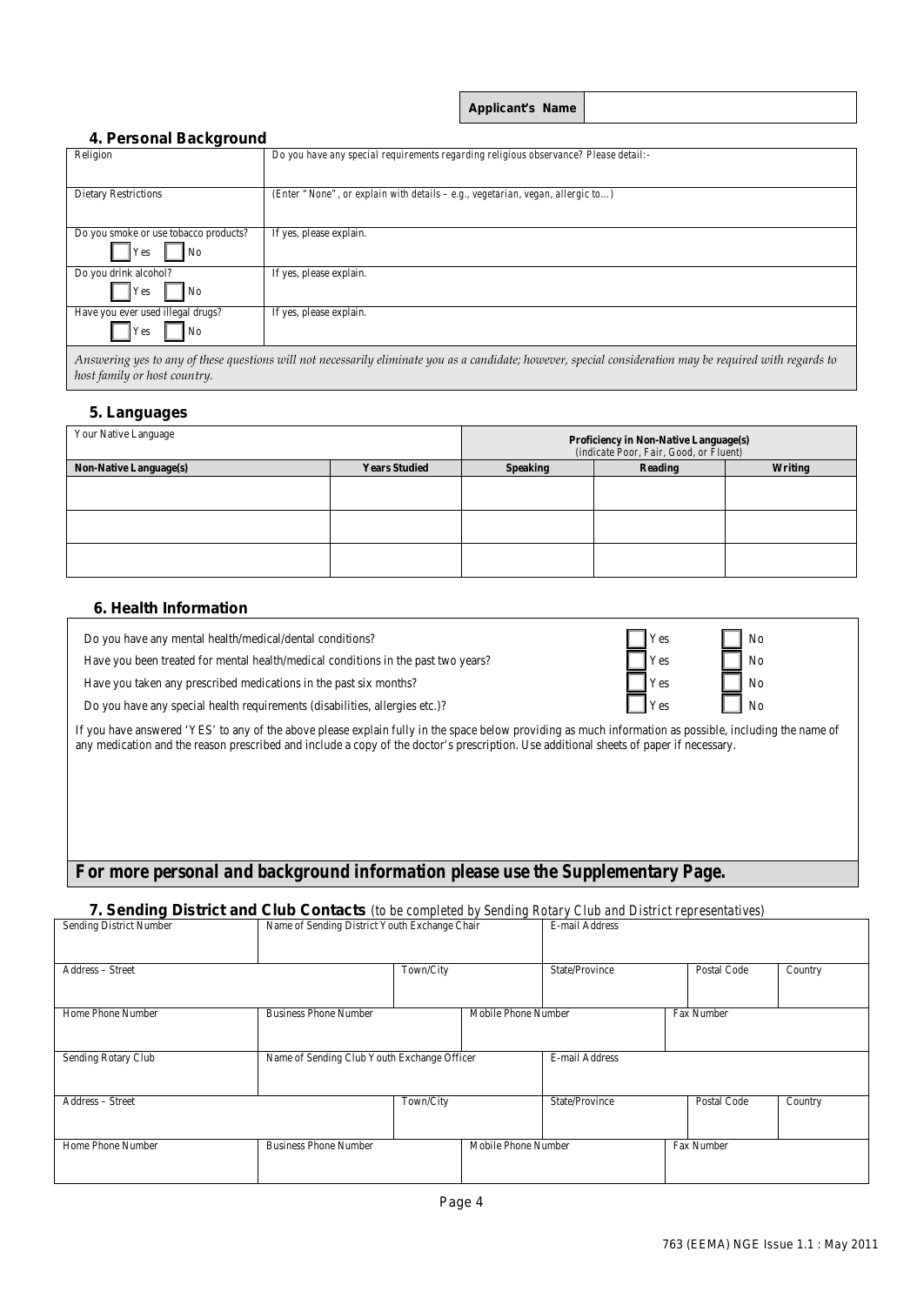| Applicant's Name |  |  |
|------------------|--|--|
|                  |  |  |

#### **4. Personal Background**

| Religion                                                          | Do you have any special requirements regarding religious observance? Please detail:-                                                                      |
|-------------------------------------------------------------------|-----------------------------------------------------------------------------------------------------------------------------------------------------------|
| <b>Dietary Restrictions</b>                                       | (Enter "None", or explain with details $-e.g., vegetarian, vegan, allergic to$ )                                                                          |
| Do you smoke or use tobacco products?<br>Yes<br>N <sub>o</sub>    | If yes, please explain.                                                                                                                                   |
| Do you drink alcohol?<br>N <sub>o</sub><br>Yes                    | If yes, please explain.                                                                                                                                   |
| Have you ever used illegal drugs?<br><b>Yes</b><br>N <sub>o</sub> | If yes, please explain.                                                                                                                                   |
|                                                                   | Answering yes to any of these questions will not necessarily eliminate you as a candidate; however, special consideration may be required with regards to |

*host family or host country.*

#### **5. Languages**

| Your Native Language          |                      | <b>Proficiency in Non-Native Language(s)</b><br>(indicate Poor, Fair, Good, or Fluent) |         |         |  |  |
|-------------------------------|----------------------|----------------------------------------------------------------------------------------|---------|---------|--|--|
| <b>Non-Native Language(s)</b> | <b>Years Studied</b> | <b>Speaking</b>                                                                        | Reading | Writing |  |  |
|                               |                      |                                                                                        |         |         |  |  |
|                               |                      |                                                                                        |         |         |  |  |
|                               |                      |                                                                                        |         |         |  |  |
|                               |                      |                                                                                        |         |         |  |  |
|                               |                      |                                                                                        |         |         |  |  |
|                               |                      |                                                                                        |         |         |  |  |

#### **6. Health Information**

Do you have any mental health/medical/dental conditions?

Have you been treated for mental health/medical conditions in the past two years?  $\Box$  Yes  $\Box$  No

Have you taken any prescribed medications in the past six months? Yes No

Do you have any special health requirements (disabilities, allergies etc.)?

If you have answered 'YES' to any of the above please explain fully in the space below providing as much information as possible, including the name of any medication and the reason prescribed and include a copy of the doctor's prescription. Use additional sheets of paper if necessary.

### *For more personal and background information please use the Supplementary Page.*

### **7. Sending District and Club Contacts** *(to be completed by Sending Rotary Club and District representatives)*

| Sending District Number | Name of Sending District Youth Exchange Chair |           | E-mail Address      |                |  |             |         |
|-------------------------|-----------------------------------------------|-----------|---------------------|----------------|--|-------------|---------|
|                         |                                               |           |                     |                |  |             |         |
| Address - Street        |                                               | Town/City |                     | State/Province |  | Postal Code | Country |
|                         |                                               |           |                     |                |  |             |         |
| Home Phone Number       | <b>Business Phone Number</b>                  |           | Mobile Phone Number |                |  | Fax Number  |         |
|                         |                                               |           |                     |                |  |             |         |
| Sending Rotary Club     | Name of Sending Club Youth Exchange Officer   |           |                     | E-mail Address |  |             |         |
|                         |                                               |           |                     |                |  |             |         |
| Address - Street        |                                               | Town/City |                     | State/Province |  | Postal Code | Country |
|                         |                                               |           |                     |                |  |             |         |
| Home Phone Number       | <b>Business Phone Number</b>                  |           | Mobile Phone Number |                |  | Fax Number  |         |
|                         |                                               |           |                     |                |  |             |         |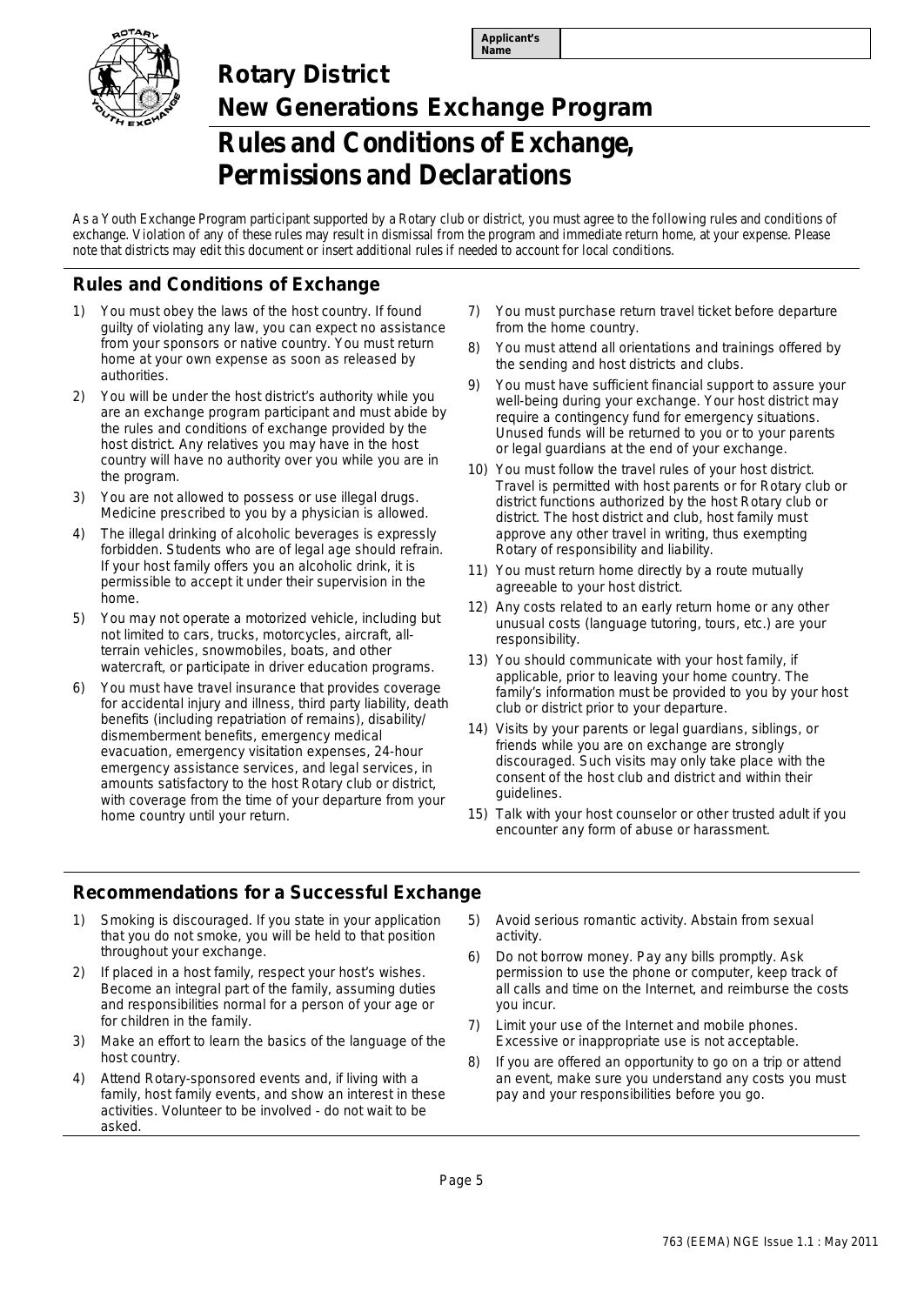



# **Rotary District New Generations Exchange Program Rules and Conditions of Exchange, Permissions and Declarations**

As a Youth Exchange Program participant supported by a Rotary club or district, you must agree to the following rules and conditions of exchange. Violation of any of these rules may result in dismissal from the program and immediate return home, at your expense. Please note that districts may edit this document or insert additional rules if needed to account for local conditions.

### **Rules and Conditions of Exchange**

- 1) You must obey the laws of the host country. If found guilty of violating any law, you can expect no assistance from your sponsors or native country. You must return home at your own expense as soon as released by authorities.
- 2) You will be under the host district's authority while you are an exchange program participant and must abide by the rules and conditions of exchange provided by the host district. Any relatives you may have in the host country will have no authority over you while you are in the program.
- 3) You are not allowed to possess or use illegal drugs. Medicine prescribed to you by a physician is allowed.
- The illegal drinking of alcoholic beverages is expressly forbidden. Students who are of legal age should refrain. If your host family offers you an alcoholic drink, it is permissible to accept it under their supervision in the home.
- 5) You may not operate a motorized vehicle, including but not limited to cars, trucks, motorcycles, aircraft, allterrain vehicles, snowmobiles, boats, and other watercraft, or participate in driver education programs.
- 6) You must have travel insurance that provides coverage for accidental injury and illness, third party liability, death benefits (including repatriation of remains), disability/ dismemberment benefits, emergency medical evacuation, emergency visitation expenses, 24-hour emergency assistance services, and legal services, in amounts satisfactory to the host Rotary club or district, with coverage from the time of your departure from your home country until your return.
- 7) You must purchase return travel ticket before departure from the home country.
- 8) You must attend all orientations and trainings offered by the sending and host districts and clubs.
- 9) You must have sufficient financial support to assure your well-being during your exchange. Your host district may require a contingency fund for emergency situations. Unused funds will be returned to you or to your parents or legal guardians at the end of your exchange.
- 10) You must follow the travel rules of your host district. Travel is permitted with host parents or for Rotary club or district functions authorized by the host Rotary club or district. The host district and club, host family must approve any other travel in writing, thus exempting Rotary of responsibility and liability.
- 11) You must return home directly by a route mutually agreeable to your host district.
- 12) Any costs related to an early return home or any other unusual costs (language tutoring, tours, etc.) are your responsibility.
- 13) You should communicate with your host family, if applicable, prior to leaving your home country. The family's information must be provided to you by your host club or district prior to your departure.
- 14) Visits by your parents or legal guardians, siblings, or friends while you are on exchange are strongly discouraged. Such visits may only take place with the consent of the host club and district and within their guidelines.
- 15) Talk with your host counselor or other trusted adult if you encounter any form of abuse or harassment.

### **Recommendations for a Successful Exchange**

- Smoking is discouraged. If you state in your application that you do not smoke, you will be held to that position throughout your exchange.
- 2) If placed in a host family, respect your host's wishes. Become an integral part of the family, assuming duties and responsibilities normal for a person of your age or for children in the family.
- 3) Make an effort to learn the basics of the language of the host country.
- 4) Attend Rotary-sponsored events and, if living with a family, host family events, and show an interest in these activities. Volunteer to be involved - do not wait to be asked.
- 5) Avoid serious romantic activity. Abstain from sexual activity.
- 6) Do not borrow money. Pay any bills promptly. Ask permission to use the phone or computer, keep track of all calls and time on the Internet, and reimburse the costs you incur.
- 7) Limit your use of the Internet and mobile phones. Excessive or inappropriate use is not acceptable.
- 8) If you are offered an opportunity to go on a trip or attend an event, make sure you understand any costs you must pay and your responsibilities before you go.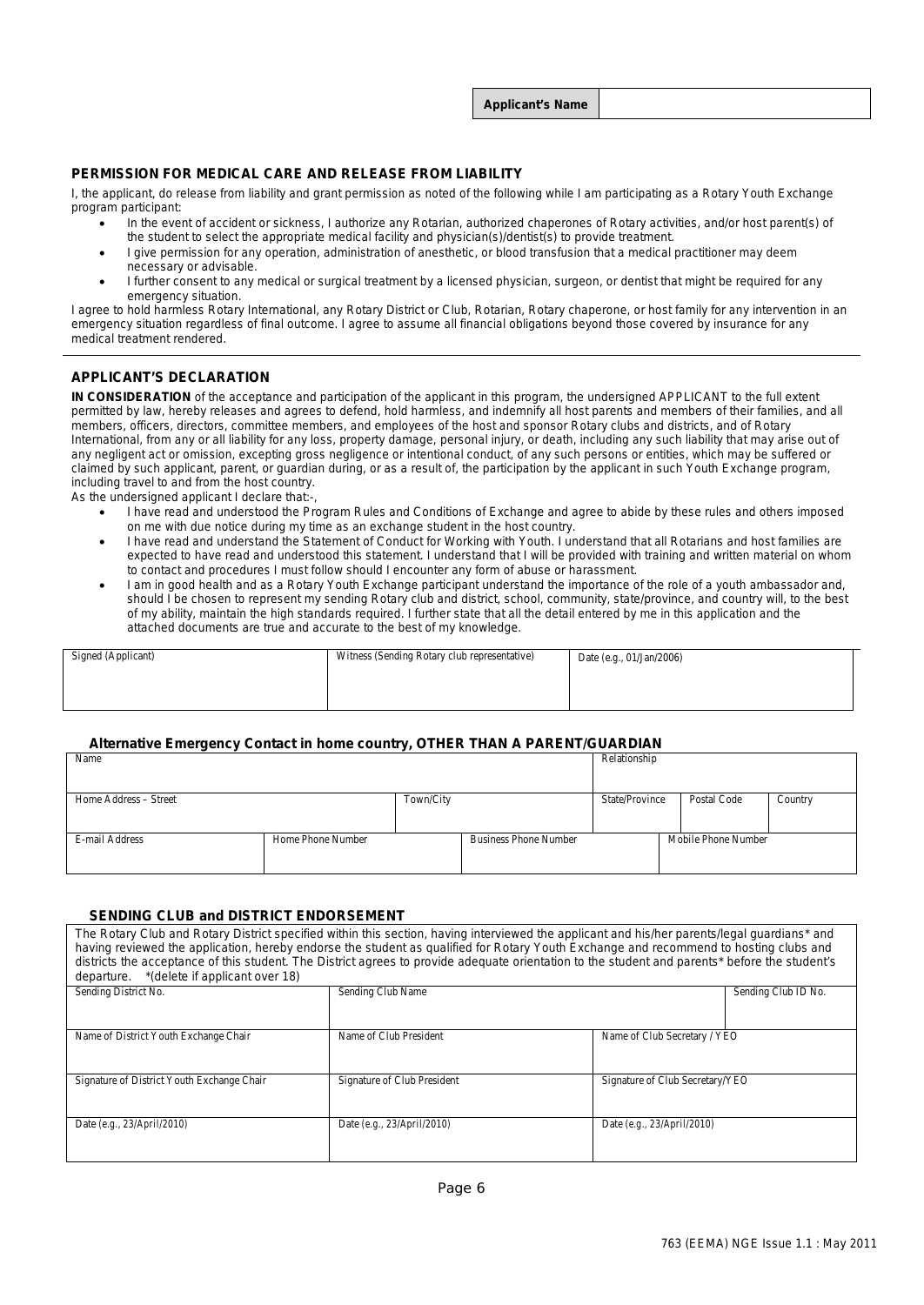**Applicant's Name**

#### **PERMISSION FOR MEDICAL CARE AND RELEASE FROM LIABILITY**

I, the applicant, do release from liability and grant permission as noted of the following while I am participating as a Rotary Youth Exchange program participant:

- In the event of accident or sickness, I authorize any Rotarian, authorized chaperones of Rotary activities, and/or host parent(s) of the student to select the appropriate medical facility and physician(s)/dentist(s) to provide treatment.
- I give permission for any operation, administration of anesthetic, or blood transfusion that a medical practitioner may deem necessary or advisable.
- I further consent to any medical or surgical treatment by a licensed physician, surgeon, or dentist that might be required for any emergency situation.

I agree to hold harmless Rotary International, any Rotary District or Club, Rotarian, Rotary chaperone, or host family for any intervention in an emergency situation regardless of final outcome. I agree to assume all financial obligations beyond those covered by insurance for any medical treatment rendered.

#### **APPLICANT'S DECLARATION**

**IN CONSIDERATION** of the acceptance and participation of the applicant in this program, the undersigned APPLICANT to the full extent permitted by law, hereby releases and agrees to defend, hold harmless, and indemnify all host parents and members of their families, and all members, officers, directors, committee members, and employees of the host and sponsor Rotary clubs and districts, and of Rotary International, from any or all liability for any loss, property damage, personal injury, or death, including any such liability that may arise out of any negligent act or omission, excepting gross negligence or intentional conduct, of any such persons or entities, which may be suffered or claimed by such applicant, parent, or guardian during, or as a result of, the participation by the applicant in such Youth Exchange program, including travel to and from the host country.

As the undersigned applicant I declare that:-,

- I have read and understood the Program Rules and Conditions of Exchange and agree to abide by these rules and others imposed on me with due notice during my time as an exchange student in the host country.
- I have read and understand the Statement of Conduct for Working with Youth. I understand that all Rotarians and host families are expected to have read and understood this statement. I understand that I will be provided with training and written material on whom to contact and procedures I must follow should I encounter any form of abuse or harassment.
- I am in good health and as a Rotary Youth Exchange participant understand the importance of the role of a youth ambassador and, should I be chosen to represent my sending Rotary club and district, school, community, state/province, and country will, to the best of my ability, maintain the high standards required. I further state that all the detail entered by me in this application and the attached documents are true and accurate to the best of my knowledge.

| Signed (Applicant) | Witness (Sending Rotary club representative) | Date (e.g., 01/Jan/2006) |
|--------------------|----------------------------------------------|--------------------------|
|                    |                                              |                          |
|                    |                                              |                          |

#### **Alternative Emergency Contact in home country, OTHER THAN A PARENT/GUARDIAN**

| Name                  |                   |           |                              | Relationship   |                     |         |
|-----------------------|-------------------|-----------|------------------------------|----------------|---------------------|---------|
|                       |                   |           |                              |                |                     |         |
| Home Address – Street |                   | Town/City |                              | State/Province | <b>Postal Code</b>  | Country |
|                       |                   |           |                              |                |                     |         |
| E-mail Address        | Home Phone Number |           | <b>Business Phone Number</b> |                | Mobile Phone Number |         |
|                       |                   |           |                              |                |                     |         |

#### **SENDING CLUB and DISTRICT ENDORSEMENT**

| The Rotary Club and Rotary District specified within this section, having interviewed the applicant and his/her parents/legal quardians* and<br>having reviewed the application, hereby endorse the student as qualified for Rotary Youth Exchange and recommend to hosting clubs and<br>districts the acceptance of this student. The District agrees to provide adequate orientation to the student and parents* before the student's<br>*(delete if applicant over 18)<br>departure. |                             |                                 |                     |  |  |  |
|-----------------------------------------------------------------------------------------------------------------------------------------------------------------------------------------------------------------------------------------------------------------------------------------------------------------------------------------------------------------------------------------------------------------------------------------------------------------------------------------|-----------------------------|---------------------------------|---------------------|--|--|--|
| Sending District No.                                                                                                                                                                                                                                                                                                                                                                                                                                                                    | Sending Club Name           |                                 | Sending Club ID No. |  |  |  |
|                                                                                                                                                                                                                                                                                                                                                                                                                                                                                         |                             |                                 |                     |  |  |  |
| Name of District Youth Exchange Chair                                                                                                                                                                                                                                                                                                                                                                                                                                                   | Name of Club President      | Name of Club Secretary / YEO    |                     |  |  |  |
|                                                                                                                                                                                                                                                                                                                                                                                                                                                                                         |                             |                                 |                     |  |  |  |
| Signature of District Youth Exchange Chair                                                                                                                                                                                                                                                                                                                                                                                                                                              | Signature of Club President | Signature of Club Secretary/YEO |                     |  |  |  |
| Date (e.g., $23/April/2010$ )                                                                                                                                                                                                                                                                                                                                                                                                                                                           | Date (e.g., 23/April/2010)  | Date (e.g., $23/April/2010$ )   |                     |  |  |  |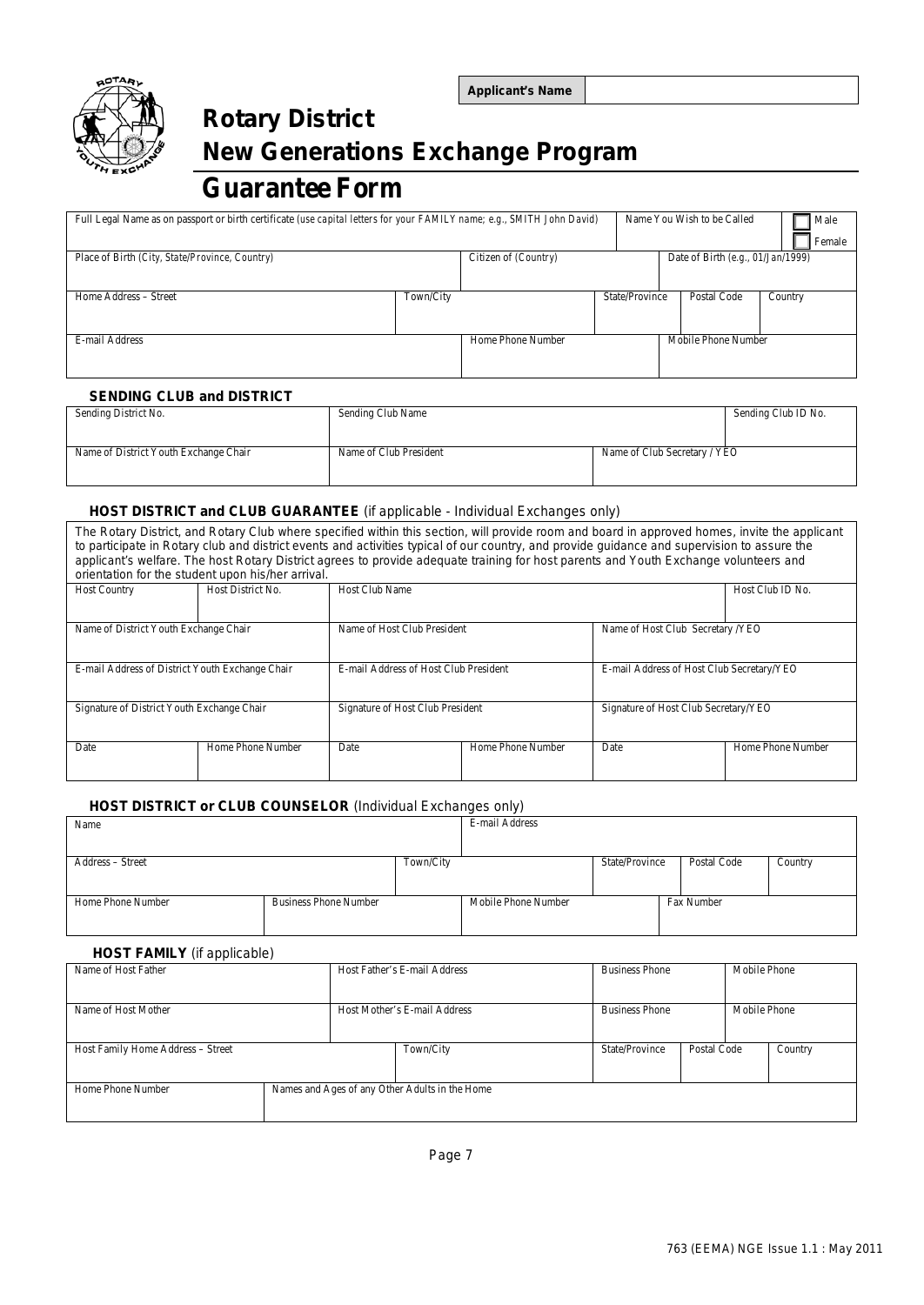

# **Rotary District New Generations Exchange Program**

## **Guarantee Form**

| Full Legal Name as on passport or birth certificate (use capital letters for your FAMILY name; e.g., SMITH John David) |           |                      |                | Name You Wish to be Called |                                   |         | Male   |
|------------------------------------------------------------------------------------------------------------------------|-----------|----------------------|----------------|----------------------------|-----------------------------------|---------|--------|
|                                                                                                                        |           |                      |                |                            |                                   |         | Female |
| Place of Birth (City, State/Province, Country)                                                                         |           | Citizen of (Country) |                |                            | Date of Birth (e.g., 01/Jan/1999) |         |        |
|                                                                                                                        |           |                      |                |                            |                                   |         |        |
| Home Address - Street                                                                                                  | Town/City |                      | State/Province |                            | Postal Code                       | Country |        |
|                                                                                                                        |           |                      |                |                            |                                   |         |        |
| E-mail Address                                                                                                         |           | Home Phone Number    |                |                            | Mobile Phone Number               |         |        |
|                                                                                                                        |           |                      |                |                            |                                   |         |        |

#### **SENDING CLUB and DISTRICT**

| Sending District No.                  | Sending Club Name      |                              | Sending Club ID No. |
|---------------------------------------|------------------------|------------------------------|---------------------|
|                                       |                        |                              |                     |
| Name of District Youth Exchange Chair | Name of Club President | Name of Club Secretary / YEO |                     |
|                                       |                        |                              |                     |

#### **HOST DISTRICT and CLUB GUARANTEE** *(if applicable - Individual Exchanges only)*

The Rotary District, and Rotary Club where specified within this section, will provide room and board in approved homes, invite the applicant to participate in Rotary club and district events and activities typical of our country, and provide guidance and supervision to assure the applicant's welfare. The host Rotary District agrees to provide adequate training for host parents and Youth Exchange volunteers and ortation for the student upon his<sup>/</sup>

| Orientation for the student upon misting anival. |                   |                                                                 |                   |                                           |                   |  |
|--------------------------------------------------|-------------------|-----------------------------------------------------------------|-------------------|-------------------------------------------|-------------------|--|
| <b>Host Country</b>                              | Host District No. | <b>Host Club Name</b>                                           |                   |                                           | Host Club ID No.  |  |
|                                                  |                   |                                                                 |                   |                                           |                   |  |
| Name of District Youth Exchange Chair            |                   | Name of Host Club President<br>Name of Host Club Secretary /YEO |                   |                                           |                   |  |
|                                                  |                   |                                                                 |                   |                                           |                   |  |
| E-mail Address of District Youth Exchange Chair  |                   | E-mail Address of Host Club President                           |                   | E-mail Address of Host Club Secretary/YEO |                   |  |
|                                                  |                   |                                                                 |                   |                                           |                   |  |
| Signature of District Youth Exchange Chair       |                   | Signature of Host Club President                                |                   | Signature of Host Club Secretary/YEO      |                   |  |
|                                                  |                   |                                                                 |                   |                                           |                   |  |
| Date                                             | Home Phone Number | Date                                                            | Home Phone Number | Date                                      | Home Phone Number |  |
|                                                  |                   |                                                                 |                   |                                           |                   |  |
|                                                  |                   |                                                                 |                   |                                           |                   |  |

#### **HOST DISTRICT or CLUB COUNSELOR** *(Individual Exchanges only)*

| Name              |                              |           | E-mail Address      |                |             |         |
|-------------------|------------------------------|-----------|---------------------|----------------|-------------|---------|
|                   |                              |           |                     |                |             |         |
| Address – Street  |                              | Town/City |                     | State/Province | Postal Code | Country |
|                   |                              |           |                     |                |             |         |
| Home Phone Number | <b>Business Phone Number</b> |           | Mobile Phone Number | Fax Number     |             |         |
|                   |                              |           |                     |                |             |         |

#### **HOST FAMILY** *(if applicable)*

| Name of Host Father               |                                                | Host Father's E-mail Address |                | <b>Business Phone</b> |  | Mobile Phone |  |
|-----------------------------------|------------------------------------------------|------------------------------|----------------|-----------------------|--|--------------|--|
|                                   |                                                |                              |                |                       |  |              |  |
| Name of Host Mother               |                                                | Host Mother's E-mail Address |                | <b>Business Phone</b> |  | Mobile Phone |  |
|                                   |                                                |                              |                |                       |  |              |  |
| Host Family Home Address - Street |                                                | Town/City                    | State/Province | Postal Code           |  | Country      |  |
|                                   |                                                |                              |                |                       |  |              |  |
| Home Phone Number                 | Names and Ages of any Other Adults in the Home |                              |                |                       |  |              |  |
|                                   |                                                |                              |                |                       |  |              |  |